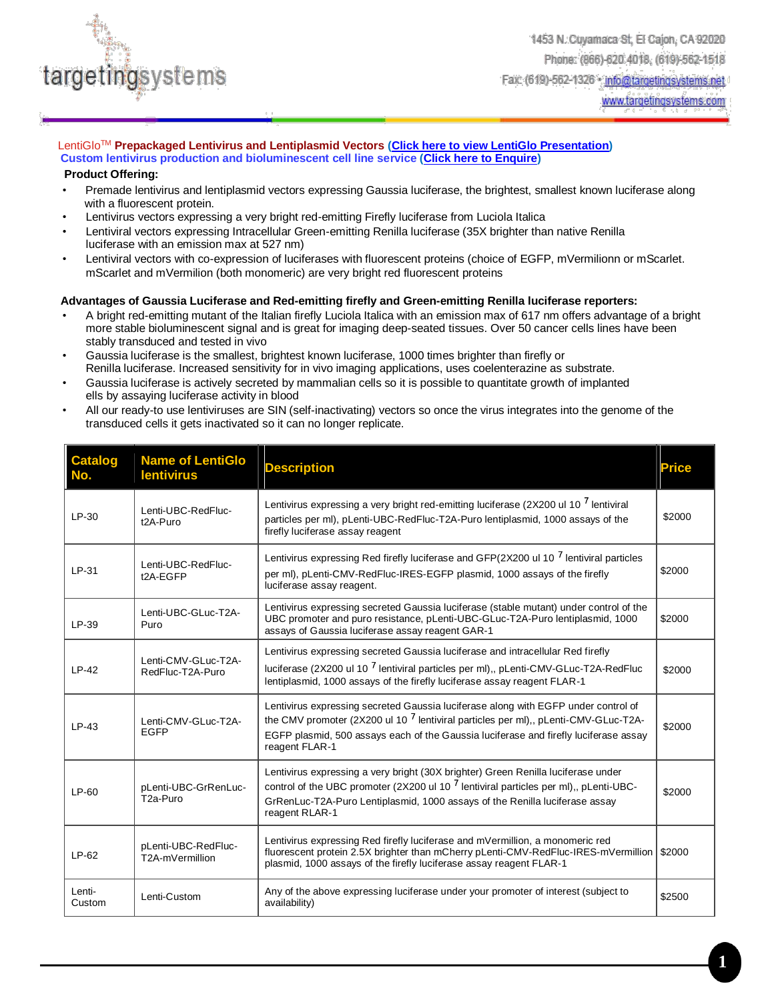

www.targetingsystems.com

### LentiGloTM **Prepackaged Lentivirus and Lentiplasmid Vectors [\(Click here to view LentiGlo Presentation\)](http://www.targetingsystems.net/lentiproducts/LentiGlo-Presentation.pdf) Custom lentivirus production and bioluminescent cell line service [\(Click here to Enquire\)](http://www.targetingsystems.net/enquire-product.php)**

### **Product Offering:**

- Premade lentivirus and lentiplasmid vectors expressing Gaussia luciferase, the brightest, smallest known luciferase along with a fluorescent protein.
- Lentivirus vectors expressing a very bright red-emitting Firefly luciferase from Luciola Italica
- Lentiviral vectors expressing Intracellular Green-emitting Renilla luciferase (35X brighter than native Renilla luciferase with an emission max at 527 nm)
- Lentiviral vectors with co-expression of luciferases with fluorescent proteins (choice of EGFP, mVermilionn or mScarlet. mScarlet and mVermilion (both monomeric) are very bright red fluorescent proteins

#### **Advantages of Gaussia Luciferase and Red-emitting firefly and Green-emitting Renilla luciferase reporters:**

- A bright red-emitting mutant of the Italian firefly Luciola Italica with an emission max of 617 nm offers advantage of a bright more stable bioluminescent signal and is great for imaging deep-seated tissues. Over 50 cancer cells lines have been stably transduced and tested in vivo
- Gaussia luciferase is the smallest, brightest known luciferase, 1000 times brighter than firefly or Renilla luciferase. Increased sensitivity for in vivo imaging applications, uses coelenterazine as substrate.
- Gaussia luciferase is actively secreted by mammalian cells so it is possible to quantitate growth of implanted ells by assaying luciferase activity in blood
- All our ready-to use lentiviruses are SIN (self-inactivating) vectors so once the virus integrates into the genome of the transduced cells it gets inactivated so it can no longer replicate.

| <b>Catalog</b><br>No. | <b>Name of LentiGlo</b><br><b>lentivirus</b>  | <b>Description</b>                                                                                                                                                                                                                                                                     | <b>Price</b> |
|-----------------------|-----------------------------------------------|----------------------------------------------------------------------------------------------------------------------------------------------------------------------------------------------------------------------------------------------------------------------------------------|--------------|
| LP-30                 | Lenti-UBC-RedFluc-<br>t2A-Puro                | Lentivirus expressing a very bright red-emitting luciferase (2X200 ul 10 <sup>7</sup> lentiviral<br>particles per ml), pLenti-UBC-RedFluc-T2A-Puro lentiplasmid, 1000 assays of the<br>firefly luciferase assay reagent                                                                | \$2000       |
| LP-31                 | Lenti-UBC-RedFluc-<br>t2A-EGFP                | Lentivirus expressing Red firefly luciferase and GFP(2X200 ul 10 <sup>7</sup> lentiviral particles<br>per ml), pLenti-CMV-RedFluc-IRES-EGFP plasmid, 1000 assays of the firefly<br>luciferase assay reagent.                                                                           | \$2000       |
| LP-39                 | Lenti-UBC-GLuc-T2A-<br>Puro                   | Lentivirus expressing secreted Gaussia luciferase (stable mutant) under control of the<br>UBC promoter and puro resistance, pLenti-UBC-GLuc-T2A-Puro lentiplasmid, 1000<br>assays of Gaussia luciferase assay reagent GAR-1                                                            | \$2000       |
| $IP-42$               | Lenti-CMV-GLuc-T2A-<br>RedFluc-T2A-Puro       | Lentivirus expressing secreted Gaussia luciferase and intracellular Red firefly<br>luciferase (2X200 ul 10 <sup>7</sup> lentiviral particles per ml),, pLenti-CMV-GLuc-T2A-RedFluc<br>lentiplasmid, 1000 assays of the firefly luciferase assay reagent FLAR-1                         | \$2000       |
| $LP-43$               | Lenti-CMV-GLuc-T2A-<br><b>EGFP</b>            | Lentivirus expressing secreted Gaussia luciferase along with EGFP under control of<br>the CMV promoter (2X200 ul 10 $^7$ lentiviral particles per ml),, pLenti-CMV-GLuc-T2A-<br>EGFP plasmid, 500 assays each of the Gaussia luciferase and firefly luciferase assay<br>reagent FLAR-1 | \$2000       |
| LP-60                 | pLenti-UBC-GrRenLuc-<br>T <sub>2a</sub> -Puro | Lentivirus expressing a very bright (30X brighter) Green Renilla luciferase under<br>control of the UBC promoter (2X200 ul 10 $^7$ lentiviral particles per ml),, pLenti-UBC-<br>GrRenLuc-T2A-Puro Lentiplasmid, 1000 assays of the Renilla luciferase assay<br>reagent RLAR-1         | \$2000       |
| $LP-62$               | pLenti-UBC-RedFluc-<br>T2A-mVermillion        | Lentivirus expressing Red firefly luciferase and mVermillion, a monomeric red<br>fluorescent protein 2.5X brighter than mCherry pLenti-CMV-RedFluc-IRES-mVermillion<br>plasmid, 1000 assays of the firefly luciferase assay reagent FLAR-1                                             | \$2000       |
| Lenti-<br>Custom      | Lenti-Custom                                  | Any of the above expressing luciferase under your promoter of interest (subject to<br>availability)                                                                                                                                                                                    | \$2500       |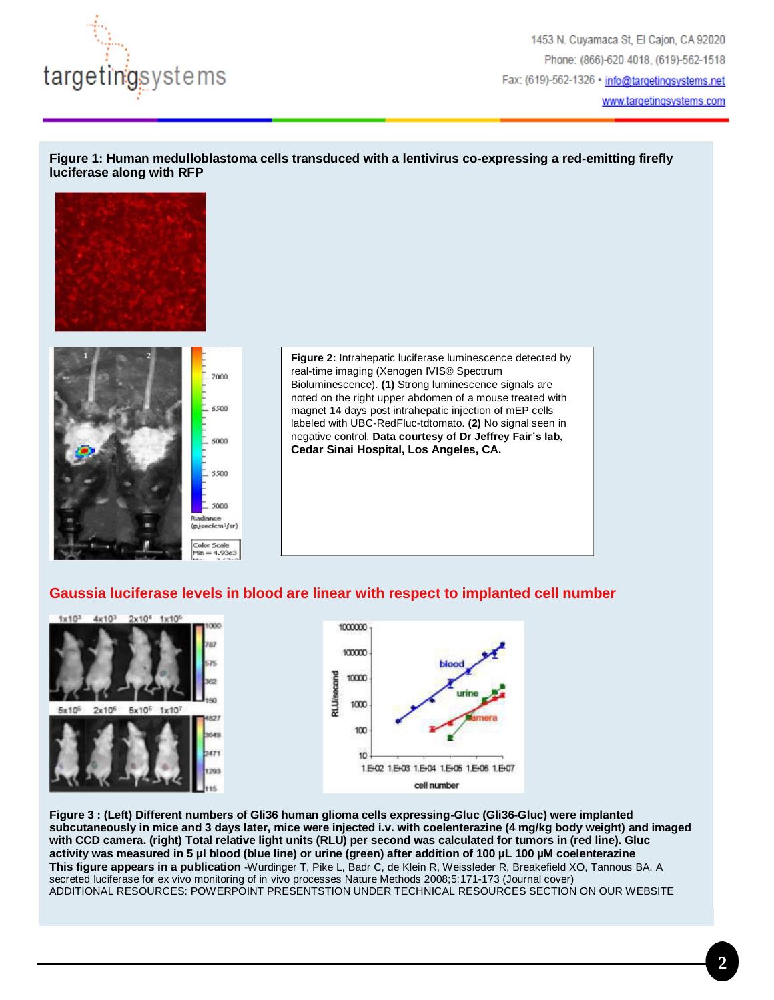

1453 N. Cuyamaca St, El Cajon, CA 92020 Phone: (866)-620 4018, (619)-562-1518 Fax: (619)-562-1326 · info@targetingsystems.net www.targetingsystems.com

### **Figure 1: Human medulloblastoma cells transduced with a lentivirus co-expressing a red-emitting firefly luciferase along with RFP**





**Figure 2:** Intrahepatic luciferase luminescence detected by real-time imaging (Xenogen IVIS® Spectrum Bioluminescence). **(1)** Strong luminescence signals are noted on the right upper abdomen of a mouse treated with magnet 14 days post intrahepatic injection of mEP cells labeled with UBC-RedFluc-tdtomato. **(2)** No signal seen in negative control. **Data courtesy of Dr Jeffrey Fair's lab, Cedar Sinai Hospital, Los Angeles, CA.**

## **Gaussia luciferase levels in blood are linear with respect to implanted cell number**







**Figure 3 : (Left) Different numbers of Gli36 human glioma cells expressing-Gluc (Gli36-Gluc) were implanted subcutaneously in mice and 3 days later, mice were injected i.v. with coelenterazine (4 mg/kg body weight) and imaged with CCD camera. (right) Total relative light units (RLU) per second was calculated for tumors in (red line). Gluc activity was measured in 5 µl blood (blue line) or urine (green) after addition of 100 µL 100 µM coelenterazine This figure appears in a publication** -Wurdinger T, Pike L, Badr C, de Klein R, Weissleder R, Breakefield XO, Tannous BA. A secreted luciferase for ex vivo monitoring of in vivo processes Nature Methods 2008;5:171-173 (Journal cover) ADDITIONAL RESOURCES: POWERPOINT PRESENTSTION UNDER TECHNICAL RESOURCES SECTION ON OUR WEBSITE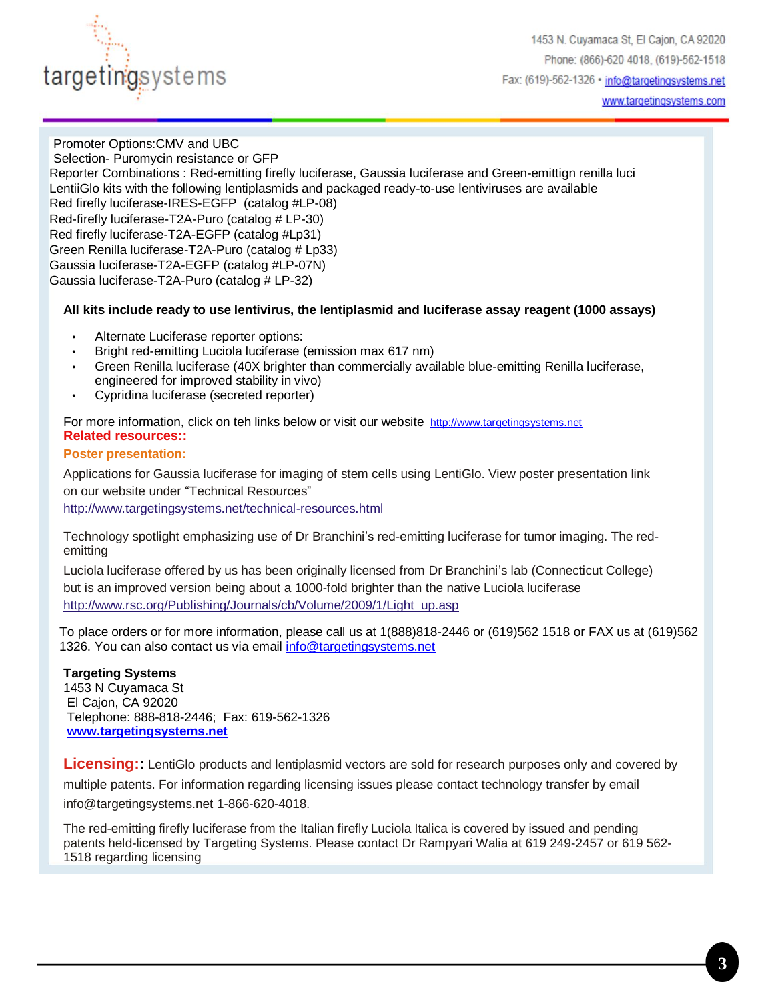

Promoter Options:CMV and UBC Selection- Puromycin resistance or GFP Reporter Combinations : Red-emitting firefly luciferase, Gaussia luciferase and Green-emittign renilla luci LentiiGlo kits with the following lentiplasmids and packaged ready-to-use lentiviruses are available Red firefly luciferase-IRES-EGFP (catalog #LP-08) Red-firefly luciferase-T2A-Puro (catalog # LP-30) Red firefly luciferase-T2A-EGFP (catalog #Lp31) Green Renilla luciferase-T2A-Puro (catalog # Lp33) Gaussia luciferase-T2A-EGFP (catalog #LP-07N) Gaussia luciferase-T2A-Puro (catalog # LP-32)

## **All kits include ready to use lentivirus, the lentiplasmid and luciferase assay reagent (1000 assays)**

- Alternate Luciferase reporter options:
- Bright red-emitting Luciola luciferase (emission max 617 nm)
- Green Renilla luciferase (40X brighter than commercially available blue-emitting Renilla luciferase, engineered for improved stability in vivo)
- Cypridina luciferase (secreted reporter)

For more information, click on teh links below or visit our website [http://www.targetingsystems.net](http://click.icptrack.com/icp/relay.php?r=10096063&msgid=236618&act=4WZE&c=1097101&destination=http://www.targetingsystems.net/) **Related resources::**

### **Poster presentation:**

Applications for Gaussia luciferase for imaging of stem cells using LentiGlo. View poster presentation link on our website under "Technical Resources"

<http://www.targetingsystems.net/technical-resources.html>

Technology spotlight emphasizing use of Dr Branchini's red-emitting luciferase for tumor imaging. The redemitting

Luciola luciferase offered by us has been originally licensed from Dr Branchini's lab (Connecticut College) but is an improved version being about a 1000-fold brighter than the native Luciola luciferase [http://www.rsc.org/Publishing/Journals/cb/Volume/2009/1/Light\\_up.asp](http://www.rsc.org/Publishing/Journals/cb/Volume/2009/1/Light_up.asp)

To place orders or for more information, please call us at 1(888)818-2446 or (619)562 1518 or FAX us at (619)562 1326. You can also contact us via email [info@targetingsystems.net](mailto:info@targetingsystems.net)

## **Targeting Systems**

1453 N Cuyamaca St El Cajon, CA 92020 Telephone: 888-818-2446; Fax: 619-562-1326 **[www.targetingsystems.net](http://www.targetingsystems.net/)**

**Licensing::** LentiGlo products and lentiplasmid vectors are sold for research purposes only and covered by

multiple patents. For information regarding licensing issues please contact technology transfer by email info@targetingsystems.net 1-866-620-4018.

The red-emitting firefly luciferase from the Italian firefly Luciola Italica is covered by issued and pending patents held-licensed by Targeting Systems. Please contact Dr Rampyari Walia at 619 249-2457 or 619 562- 1518 regarding licensing